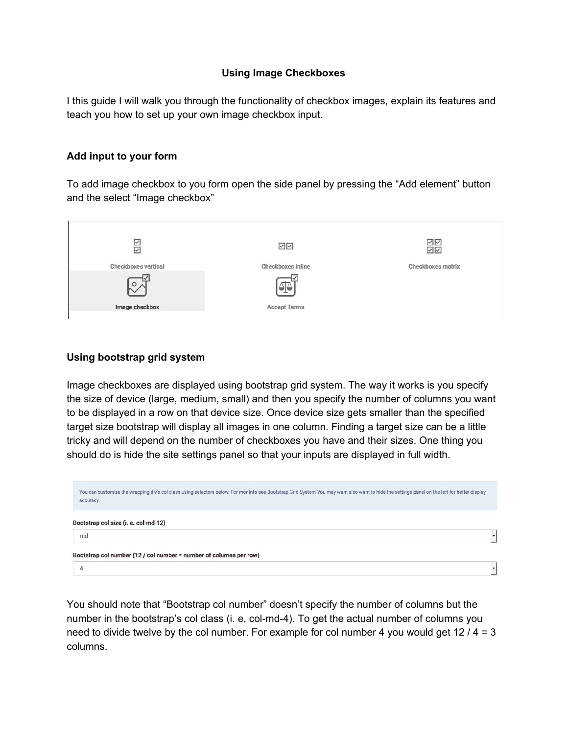## **Using Image Checkboxes**

I this guide I will walk you through the functionality of checkbox images, explain its features and teach you how to set up your own image checkbox input.

## **Add input to your form**

To add image checkbox to you form open the side panel by pressing the "Add element" button and the select "Image checkbox"



## **Using bootstrap grid system**

Image checkboxes are displayed using bootstrap grid system. The way it works is you specify the size of device (large, medium, small) and then you specify the number of columns you want to be displayed in a row on that device size. Once device size gets smaller than the specified target size bootstrap will display all images in one column. Finding a target size can be a little tricky and will depend on the number of checkboxes you have and their sizes. One thing you should do is hide the site settings panel so that your inputs are displayed in full width.

| accuracy.                                                          | You can customize the wrapping div's col class using selectors below. For mor info see Bootstrap Grid System You may want also want to hide the settings panel on the left for better display |
|--------------------------------------------------------------------|-----------------------------------------------------------------------------------------------------------------------------------------------------------------------------------------------|
| Bootstrap col size (i. e. col-md-12)<br>md                         |                                                                                                                                                                                               |
| Bootstrap col number (12 / col number = number of columns per row) |                                                                                                                                                                                               |
|                                                                    |                                                                                                                                                                                               |

You should note that "Bootstrap col number" doesn't specify the number of columns but the number in the bootstrap's col class (i. e. col-md-4). To get the actual number of columns you need to divide twelve by the col number. For example for col number 4 you would get 12  $/$  4 = 3 columns.